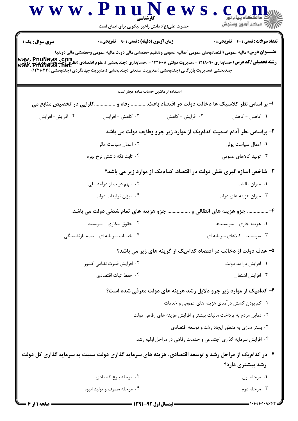|                   | www.PnuNews<br>حضرت علی(ع): دانش راهبر نیکویی برای ایمان است |                                                                                                                                                                                                                                                                                                                                                                                                       |                                     |
|-------------------|--------------------------------------------------------------|-------------------------------------------------------------------------------------------------------------------------------------------------------------------------------------------------------------------------------------------------------------------------------------------------------------------------------------------------------------------------------------------------------|-------------------------------------|
| سری سوال: یک ۱    | <b>زمان آزمون (دقیقه) : تستی : ۹۰ قشریحی : 0</b>             |                                                                                                                                                                                                                                                                                                                                                                                                       | تعداد سوالات : تستى : 40 قشريحى : 0 |
|                   |                                                              | <b>عنــــوان درس:</b> مالیه عمومی (اقتصادبخش عمومی )،مالیه عمومی وتنظیم خطمشی مالی دولت،مالیه عمومی وخطمشی مالی دولتها<br><b>www. PnuNews .com .</b><br>ر <b>شته تحصیلی/کد درس:</b> حسابداری ۱۲۱۸۰۹۰ - ،مدیریت دولتی ۱۲۲۱۰۰۸ - ،حسابداری (چندبخشی )،علوم اقتصادی (نظامی تصویر<br>Www. PnuNews . net<br>چندبخشی )،مدیریت بازرگانی (چندبخشی )،مدیریت صنعتی (چندبخشی )،مدیریت جهانگردی (چندبخشی )۲۲۱۰۳۴) |                                     |
|                   | استفاده از ماشین حساب ساده مجاز است                          |                                                                                                                                                                                                                                                                                                                                                                                                       |                                     |
|                   |                                                              | ا- بر اساس نظر کلاسیک ها دخالت دولت در اقتصاد باعثرفاه و کارایی در تخصیص منابع می                                                                                                                                                                                                                                                                                                                     |                                     |
| ۰۴ افزايش- افزايش | ۰۳ کاهش - افزایش                                             | ۰۲ افزایش - کاهش                                                                                                                                                                                                                                                                                                                                                                                      | ٠١ كاهش - كاهش                      |
|                   |                                                              | ۲- براساس نظر آدام اسمیت کدامیک از موارد زیر جزو وظایف دولت می باشد.                                                                                                                                                                                                                                                                                                                                  |                                     |
|                   | ۰۲ اعمال سیاست مالی                                          |                                                                                                                                                                                                                                                                                                                                                                                                       | ٠١ اعمال سياست پولى                 |
|                   | ۰۴ ثابت نگه داشتن نرخ بهره                                   |                                                                                                                                                                                                                                                                                                                                                                                                       | ۰۳ تولید کالاهای عمومی              |
|                   |                                                              | ۳- شاخص اندازه گیری نقش دولت در اقتصاد، کدامیک از موارد زیر می باشد؟                                                                                                                                                                                                                                                                                                                                  |                                     |
|                   | ۰۲ سهم دولت از درآمد ملی                                     |                                                                                                                                                                                                                                                                                                                                                                                                       | ۰۱ میزان مالیات                     |
|                   | ۰۴ میزان تولیدات دولت                                        |                                                                                                                                                                                                                                                                                                                                                                                                       | ۰۳ میزان هزینه های دولت             |
|                   | جزو هزینه های تمام شدنی دولت می باشد.                        | ۴- جزو هزینه های انتقالی و                                                                                                                                                                                                                                                                                                                                                                            |                                     |
|                   | ۰۲ حقوق بیکاری - سوبسید                                      |                                                                                                                                                                                                                                                                                                                                                                                                       | ۰۱ هزینه جاری - سوبسیدها            |
|                   | ۰۴ خدمات سرمایه ای - بیمه بازنشستگی                          | ۰۳ سوبسید - کالاهای سرمایه ای                                                                                                                                                                                                                                                                                                                                                                         |                                     |
|                   |                                                              | ۵– هدف دولت از دخالت در اقتصاد کدامیک از گزینه های زیر می باشد؟                                                                                                                                                                                                                                                                                                                                       |                                     |
|                   | ۰۲ افزایش قدرت نظامی کشور                                    |                                                                                                                                                                                                                                                                                                                                                                                                       | ۰۱ افزایش درآمد دولت                |
|                   | ۰۴ حفظ ثبات اقتصادى                                          |                                                                                                                                                                                                                                                                                                                                                                                                       | ۰۳ افزايش اشتغال                    |
|                   |                                                              | ۶- کدامیک از موارد زیر جزو دلایل رشد هزینه های دولت معرفی شده است؟                                                                                                                                                                                                                                                                                                                                    |                                     |
|                   |                                                              | ۰۱ کم بودن کشش درآمدی هزینه های عمومی و خدمات                                                                                                                                                                                                                                                                                                                                                         |                                     |
|                   |                                                              | ۰۲ تمایل مردم به پرداخت مالیات بیشتر و افزایش هزینه های رفاهی دولت                                                                                                                                                                                                                                                                                                                                    |                                     |
|                   |                                                              | ۰۳ بستر سازی به منظور ایجاد رشد و توسعه اقتصادی                                                                                                                                                                                                                                                                                                                                                       |                                     |
|                   |                                                              | ۰۴ افزایش سرمایه گذاری اجتماعی و خدمات رفاهی در مراحل اولیه رشد                                                                                                                                                                                                                                                                                                                                       |                                     |
|                   |                                                              | ۷- در کدام یک از مراحل رشد و توسعه اقتصادی، هزینه های سرمایه گذاری دولت نسبت به سرمایه گذاری کل دولت                                                                                                                                                                                                                                                                                                  |                                     |
|                   |                                                              |                                                                                                                                                                                                                                                                                                                                                                                                       | رشد بیشتری دارد؟                    |
|                   | ۰۲ مرحله بلوغ اقتصادى                                        |                                                                                                                                                                                                                                                                                                                                                                                                       | ۰۱ مرحله اول                        |
|                   | ۰۴ مرحله مصرف و تولید انبوه                                  |                                                                                                                                                                                                                                                                                                                                                                                                       | ۰۳ مرحله دوم                        |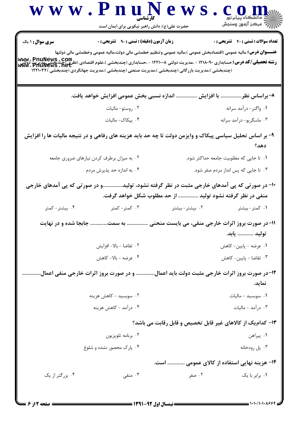|                      | حضرت علی(ع): دانش راهبر نیکویی برای ایمان است                                                                                                                                                                                                                                                                                              |                                                             |                                            |
|----------------------|--------------------------------------------------------------------------------------------------------------------------------------------------------------------------------------------------------------------------------------------------------------------------------------------------------------------------------------------|-------------------------------------------------------------|--------------------------------------------|
| سری سوال: ۱ یک       | زمان آزمون (دقیقه) : تستی : ۹۰٪ تشریحی : ۰                                                                                                                                                                                                                                                                                                 |                                                             | <b>تعداد سوالات : تستی : 40 قشریحی : 0</b> |
|                      | <b>عنــــوان درس:</b> مالیه عمومی (اقتصادبخش عمومی )،مالیه عمومی وتنظیم خطمشی مالی دولت،مالیه عمومی وخطمشی مالی دولتها                                                                                                                                                                                                                     |                                                             |                                            |
|                      | <b>رشته تحصیلی/کد درس: حسابداری ۱۲۱۸۰۹۰ - ،مدیریت دولتی ۱۲۲۱۰۰۸ - ،حسابداری (چندبخشی )،علوم اقتصادی (نظری)چندیخشی<br/>به سبب ۱۳۱۸۰۹۰ - ۱۲۱۸۰۹۰ - ۱۳۵۳۰ - ۱۳۵۳۰ - ۱۳۵۳۰ - ۱۳۴۱۰۰۸ - ،حسابداری (چندبخشی )،علوم اقتصادی (تفاوی)چندیخشی</b><br>(چندبخشی )،مدیریت بازرگانی (چندبخشی )،مدیریت صنعتی (چندبخشی )،مدیریت جهانگردی (چندبخشی )۱۲۲۱۰۳۴ |                                                             |                                            |
|                      | ۸–براساس نظر  با افزایش  اندازه نسبی بخش عمومی افزایش خواهد یافت.                                                                                                                                                                                                                                                                          |                                                             |                                            |
|                      | ۰۲ روستو- ماليات                                                                                                                                                                                                                                                                                                                           |                                                             | ۰۱ واگنر- درآمد سرانه                      |
|                      | ۴. پیکاک- مالیات                                                                                                                                                                                                                                                                                                                           |                                                             | ۰۳ ماسگريو- درآمد سرانه                    |
|                      | ۹- بر اساس تحلیل سیاسی پیکاک و وایزمن دولت تا چه حد باید هزینه های رفاهی و در نتیجه مالیات ها را افزایش                                                                                                                                                                                                                                    |                                                             |                                            |
|                      |                                                                                                                                                                                                                                                                                                                                            |                                                             | دهد؟                                       |
|                      | ۰۲ به میزان برطرف کردن نیازهای ضروری جامعه                                                                                                                                                                                                                                                                                                 |                                                             | ۰۱ تا جایی که مطلوبیت جامعه حداکثر شود.    |
|                      | ۰۴ به اندازه حد پذیرش مردم                                                                                                                                                                                                                                                                                                                 |                                                             | ۰۳ تا جایی که پس انداز مردم صفر شود.       |
|                      | +۱- در صورتی که پی آمدهای خارجی مثبت در نظر گرفته نشود، تولیدو در صورتی که پی آمدهای خارجی                                                                                                                                                                                                                                                 | منفی در نظر گرفته نشود تولید  از حد مطلوب شکل خواهد گرفت.   |                                            |
| ۰۴ بیشتر- کمتر       | ۰۳ کمتر- کمتر                                                                                                                                                                                                                                                                                                                              | ۰۲ بیشتر- بیشتر                                             | ۰۱ کمتر - بیشتر                            |
| جابجا شده و در نهایت |                                                                                                                                                                                                                                                                                                                                            | 1۱-در صورت بروز اثرات خارجی منفی، می بایست منحنی  به سمت    | توليد  يابد.                               |
|                      | ٠٢ تقاضا – بالا– افزايش                                                                                                                                                                                                                                                                                                                    |                                                             | ٠١ عرضه - پايين- كاهش                      |
|                      | ۰۴ عرضه - بالا- كاهش                                                                                                                                                                                                                                                                                                                       |                                                             | ۰۳ تقاضا - پایین- کاهش                     |
|                      | ۱۲-در صورت بروز اثرات خارجی مثبت دولت باید اعمال و در صورت بروز اثرات خارجی منفی اعمال.                                                                                                                                                                                                                                                    |                                                             |                                            |
|                      |                                                                                                                                                                                                                                                                                                                                            |                                                             | نمايد.                                     |
|                      | ۰۲ سوبسید - کاهش هزینه                                                                                                                                                                                                                                                                                                                     |                                                             | ۰۱ سوبسید - مالیات                         |
|                      | ۰۴ درآمد - کاهش هزینه                                                                                                                                                                                                                                                                                                                      |                                                             | ۰۳ درآمد - ماليات                          |
|                      |                                                                                                                                                                                                                                                                                                                                            | ۱۳- کدام یک از کالاهای غیر قابل تخصیص و قابل رقابت می باشد؟ |                                            |
|                      | ۰۲ برنامه تلویزیون                                                                                                                                                                                                                                                                                                                         |                                                             | ۰۱ پیراهن                                  |
|                      | ۰۴ پارک محصور نشده و شلوغ                                                                                                                                                                                                                                                                                                                  |                                                             | ۰۳ پل رودخانه                              |
|                      |                                                                                                                                                                                                                                                                                                                                            | ۱۴– هزینه نهایی استفاده از کالای عمومی  است.                |                                            |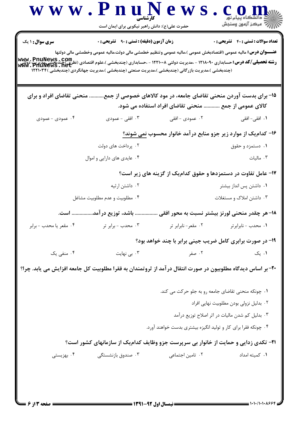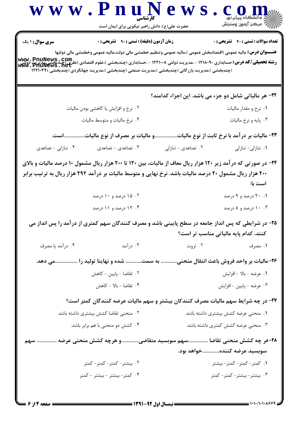|                        | www.rnuN<br>حضرت علی(ع): دانش راهبر نیکویی برای ایمان است                                                                                                                                                                                                                                                                                                                                                 |                    | \  //   مرڪز آزمون وسنڊش                                                    |
|------------------------|-----------------------------------------------------------------------------------------------------------------------------------------------------------------------------------------------------------------------------------------------------------------------------------------------------------------------------------------------------------------------------------------------------------|--------------------|-----------------------------------------------------------------------------|
| <b>سری سوال :</b> ۱ یک | زمان آزمون (دقیقه) : تستی : ۹۰٪ تشریحی : ۰                                                                                                                                                                                                                                                                                                                                                                |                    | <b>تعداد سوالات : تستی : 40 - تشریحی : 0</b>                                |
|                        | <b>عنــــوان درس:</b> مالیه عمومی (اقتصادبخش عمومی )،مالیه عمومی وتنظیم خطمشی مالی دولت،مالیه عمومی وخطمشی مالی دولتها<br><b>رشته تحصیلی/کد درس: حسابداری ۱۲۱۸۰۹۰ - مدیریت دولتی ۱۲۲۱۰۰۸ - ،حسابداری (چندبخشی )،علوم اقتصادی (نظری)چندبخشم ،پدیریت<br/>Www . PnuNews . net<br/>www . PnuNews . net</b><br>(چندبخشی )،مدیریت بازرگانی (چندبخشی )،مدیریت صنعتی (چندبخشی )،مدیریت جهانگردی (چندبخشی )۱۲۲۱۰۳۴ |                    |                                                                             |
|                        |                                                                                                                                                                                                                                                                                                                                                                                                           |                    | ۲۲- هر مالیاتی شامل دو جزء می باشد. این اجزاء کدامند؟                       |
|                        | ۰۲ نرخ و افزایش یا کاهشی بودن مالیات                                                                                                                                                                                                                                                                                                                                                                      |                    | ۰۱ نرخ و مقدار مالیات                                                       |
|                        | ۰۴ نرخ مالیات و متوسط مالیات                                                                                                                                                                                                                                                                                                                                                                              |                    | ۰۳ پایه و نرخ مالیات                                                        |
|                        | .و مالیات بر مصرف از نوع مالیاتاست.                                                                                                                                                                                                                                                                                                                                                                       |                    | ۲۳- مالیات بر در آمد با نرخ ثابت از نوع مالیات                              |
| ۰۴ تنازلی - تصاعدی     | ۰۳ تصاعدی – تصاعدی                                                                                                                                                                                                                                                                                                                                                                                        | ۰۲ تصاعدی - تنازلی | ۰۱ تنازلى- تنازلى                                                           |
|                        | ۰۲ ۱۵ درصد و ۱۰ درصد<br>۰۴ . ۱۲ درصد و ۱۱ درصد<br>۲۵- در شرایطی که پس انداز جامعه در سطح پایینی باشد و مصرف کنندگان سهم کمتری از درآمد را پس انداز می                                                                                                                                                                                                                                                     |                    | است با:<br>۰۱ ۲۰ درصد و ۹ درصد<br>۰۰۳ درصد و ۸ درصد                         |
| ۰۴ درآمد یا مصرف       | ۰۳ درآمد                                                                                                                                                                                                                                                                                                                                                                                                  | ۰۲ ثروت            | کنند، کدام پایه مالیاتی مناسب تر است؟<br>۰۱ مصرف                            |
|                        |                                                                                                                                                                                                                                                                                                                                                                                                           |                    |                                                                             |
|                        | ۲۶-مالیات بر واحد فروش باعث انتقال منحنی به سمت شده و نهایتا تولید را می دهد.                                                                                                                                                                                                                                                                                                                             |                    |                                                                             |
|                        |                                                                                                                                                                                                                                                                                                                                                                                                           |                    |                                                                             |
|                        | ٠٢ تقاضا - پايين - كاهش                                                                                                                                                                                                                                                                                                                                                                                   |                    | ٠١ عرضه - بالا - افزايش                                                     |
|                        | ۰۴ تقاضا - بالا - كاهش                                                                                                                                                                                                                                                                                                                                                                                    |                    | ۰۳ عرضه - پایین - افزایش                                                    |
|                        | ۲۷- در چه شرایط سهم مالیات مصرف کنندکان بیشتر و سهم مالیات عرضه کنندگان کمتر است؟                                                                                                                                                                                                                                                                                                                         |                    |                                                                             |
|                        | ۰۲ منحنی تقاضا کشش بیشتری داشته باشد.<br>۰۴ کشش دو منحنی با هم برابر باشد.                                                                                                                                                                                                                                                                                                                                |                    | ۰۱ منحنی عرضه کشش بیشتری داشته باشد.<br>۰۳ منحنی عرضه کشش کمتری داشته باشد. |
| سهم                    | ٢٨-هر چه كشش منحنى تقاضا سهم سوبسيد متقاضىو هرچه كشش منحنى عرضه                                                                                                                                                                                                                                                                                                                                           |                    | سوبسید عرضه کنندهخواهد بود.                                                 |
|                        | ۰۲ بیشتر – کمتر – کمتر – کمتر                                                                                                                                                                                                                                                                                                                                                                             |                    | ۰۱ کمتر - کمتر - کمتر - بیشتر                                               |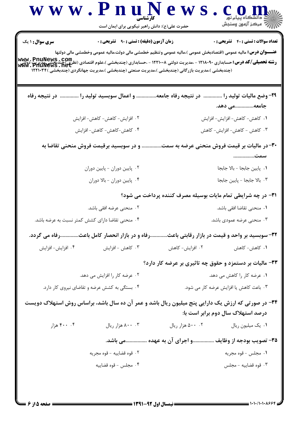|                                                  | حضرت علی(ع): دانش راهبر نیکویی برای ایمان است                                                                                                                                                                                                                    |                  |                                                              |
|--------------------------------------------------|------------------------------------------------------------------------------------------------------------------------------------------------------------------------------------------------------------------------------------------------------------------|------------------|--------------------------------------------------------------|
| سری سوال : ۱ یک                                  | <b>زمان آزمون (دقیقه) : تستی : ۹۰٪ تشریحی : 0</b>                                                                                                                                                                                                                |                  | <b>تعداد سوالات : تستی : 40 قشریحی : 0</b>                   |
|                                                  | <b>عنــــوان درس:</b> مالیه عمومی (اقتصادبخش عمومی )،مالیه عمومی وتنظیم خطمشی مالی دولت،مالیه عمومی وخطمشی مالی دولتها                                                                                                                                           |                  |                                                              |
|                                                  | <b>رشته تحصیلی/کد درس:</b> حسابداری ۱۲۱۸۰۹۰ - ،مدیریت دولتی ۱۲۲۱۰۰۸ - ،حسابداری (چندبخشی )،علوم اقتصادی (نظری)چندیخشی،دریت دولت<br><b>www . PhuNews . net</b><br>(چندبخشی )،مدیریت بازرگانی (چندبخشی )،مدیریت صنعتی (چندبخشی )،مدیریت جهانگردی (چندبخشی )۱۲۲۱۰۳۴ |                  |                                                              |
|                                                  |                                                                                                                                                                                                                                                                  |                  |                                                              |
|                                                  | ۲۹- وضع مالیات تولید را  در نتیجه رفاه جامعه و اعمال سوبسید تولید را  در نتیجه رفاه                                                                                                                                                                              |                  |                                                              |
|                                                  |                                                                                                                                                                                                                                                                  |                  | جامعهمی دهد.                                                 |
|                                                  | ۲. افزایش- کاهش- کاهش- افزایش                                                                                                                                                                                                                                    |                  | <b>۱.</b> کاهش- کاهش- افزایش- افزایش                         |
|                                                  | ۰۴ کاهش-کاهش- کاهش- افزایش                                                                                                                                                                                                                                       |                  | ۰۳ کاهش – کاهش- افزایش- کاهش                                 |
|                                                  | ۳۰- در مالیات بر قیمت فروش منحنی عرضه به سمت و در سوبسید برقیمت فروش منحنی تقاضا به                                                                                                                                                                              |                  |                                                              |
|                                                  |                                                                                                                                                                                                                                                                  |                  |                                                              |
|                                                  | ۰۲ پایین دوران - پایین دوران                                                                                                                                                                                                                                     |                  | ٠١. پايين جابجا - بالا جابجا                                 |
|                                                  | ۰۴ پایین دوران - بالا دوران                                                                                                                                                                                                                                      |                  | ٠٣ بالا جابجا - پايين جابجا                                  |
|                                                  |                                                                                                                                                                                                                                                                  |                  | ۳۱– در چه شرایطی تمام مایات بوسیله مصرف کننده پرداخت می شود؟ |
|                                                  | ۰۲ منحنی عرضه افقی باشد.                                                                                                                                                                                                                                         |                  | ٠١ منحنى تقاضا افقى باشد.                                    |
| ۰۴ منحنی تقاضا دارای کشش کمتر نسبت به عرضه باشد. |                                                                                                                                                                                                                                                                  |                  | ۰۳ منحنی عرضه عمودی باشد.                                    |
|                                                  | رفاه و در بازار انحصار کامل باعثرفاه می گردد.                                                                                                                                                                                                                    |                  | ۳۲- سوبسید بر واحد و قیمت در بازار رقابتی باعث.              |
| ۰۴ افزايش- افزايش                                | ۰۳ کاهش - افزایش                                                                                                                                                                                                                                                 | ۰۲ افزایش- کاهش  | ۰۱ کاهش- کاهش                                                |
|                                                  |                                                                                                                                                                                                                                                                  |                  | ۳۳- مالیات بر دستمزد و حقوق چه تاثیری بر عرضه کار دارد؟      |
|                                                  | ۰۲ عرضه کار را افزایش می دهد.                                                                                                                                                                                                                                    |                  | ۰۱ عرضه کار را کاهش می دهد.                                  |
|                                                  | ۰۴ بستگی به کشش عرضه و تقاضای نیروی کار دارد.                                                                                                                                                                                                                    |                  | ٠٣ باعث كاهش يا افزايش عرضه كار مي شود.                      |
|                                                  | ۳۴- در صورتی که ارزش یک دارایی پنج میلیون ریال باشد و عمر آن ده سال باشد، براساس روش استهلاک دویست                                                                                                                                                               |                  |                                                              |
|                                                  |                                                                                                                                                                                                                                                                  |                  | درصد استهلاک سال دوم برابر است با:                           |
| ۰۰ ۴۰۰ هزار                                      | ۰۳ ۸۰۰ هزار ريال                                                                                                                                                                                                                                                 | ۰۲ ۵۰۰ هزار ريال | ٠١. يک ميليون ريال                                           |
|                                                  | ۳۵– تصویب بودجه از وظایف و اجرای آن به عهده  باشد.                                                                                                                                                                                                               |                  |                                                              |
|                                                  | ٠٢ قوه قضاييه - قوه مجريه                                                                                                                                                                                                                                        |                  | ٠١ مجلس - قوه مجريه                                          |
|                                                  | ۰۴ مجلس - قوه قضاييه                                                                                                                                                                                                                                             |                  | ۰۳ قوه قضاييه - مجلس                                         |